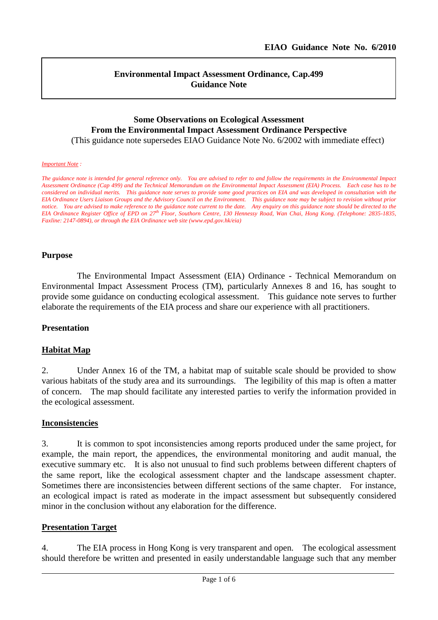l

#### **Environmental Impact Assessment Ordinance, Cap.499 Guidance Note**

# **Some Observations on Ecological Assessment From the Environmental Impact Assessment Ordinance Perspective**

(This guidance note supersedes EIAO Guidance Note No. 6/2002 with immediate effect)

#### *Important Note :*

*The guidance note is intended for general reference only. You are advised to refer to and follow the requirements in the Environmental Impact Assessment Ordinance (Cap 499) and the Technical Memorandum on the Environmental Impact Assessment (EIA) Process. Each case has to be considered on individual merits. This guidance note serves to provide some good practices on EIA and was developed in consultation with the EIA Ordinance Users Liaison Groups and the Advisory Council on the Environment. This guidance note may be subject to revision without prior notice. You are advised to make reference to the guidance note current to the date. Any enquiry on this guidance note should be directed to the EIA Ordinance Register Office of EPD on 27th Floor, Southorn Centre, 130 Hennessy Road, Wan Chai, Hong Kong. (Telephone: 2835-1835, Faxline: 2147-0894), or through the EIA Ordinance web site (www.epd.gov.hk/eia)*

#### **Purpose**

The Environmental Impact Assessment (EIA) Ordinance - Technical Memorandum on Environmental Impact Assessment Process (TM), particularly Annexes 8 and 16, has sought to provide some guidance on conducting ecological assessment. This guidance note serves to further elaborate the requirements of the EIA process and share our experience with all practitioners.

#### **Presentation**

#### **Habitat Map**

2. Under Annex 16 of the TM, a habitat map of suitable scale should be provided to show various habitats of the study area and its surroundings. The legibility of this map is often a matter of concern. The map should facilitate any interested parties to verify the information provided in the ecological assessment.

#### **Inconsistencies**

3. It is common to spot inconsistencies among reports produced under the same project, for example, the main report, the appendices, the environmental monitoring and audit manual, the executive summary etc. It is also not unusual to find such problems between different chapters of the same report, like the ecological assessment chapter and the landscape assessment chapter. Sometimes there are inconsistencies between different sections of the same chapter. For instance, an ecological impact is rated as moderate in the impact assessment but subsequently considered minor in the conclusion without any elaboration for the difference.

#### **Presentation Target**

4. The EIA process in Hong Kong is very transparent and open. The ecological assessment should therefore be written and presented in easily understandable language such that any member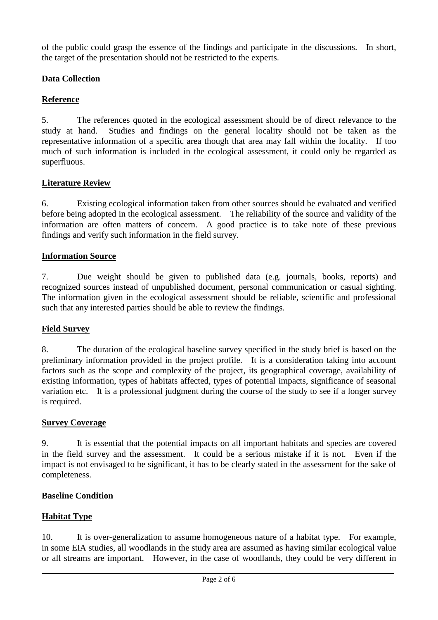of the public could grasp the essence of the findings and participate in the discussions. In short, the target of the presentation should not be restricted to the experts.

## **Data Collection**

# **Reference**

5. The references quoted in the ecological assessment should be of direct relevance to the study at hand. Studies and findings on the general locality should not be taken as the representative information of a specific area though that area may fall within the locality. If too much of such information is included in the ecological assessment, it could only be regarded as superfluous.

# **Literature Review**

6. Existing ecological information taken from other sources should be evaluated and verified before being adopted in the ecological assessment. The reliability of the source and validity of the information are often matters of concern. A good practice is to take note of these previous findings and verify such information in the field survey.

# **Information Source**

7. Due weight should be given to published data (e.g. journals, books, reports) and recognized sources instead of unpublished document, personal communication or casual sighting. The information given in the ecological assessment should be reliable, scientific and professional such that any interested parties should be able to review the findings.

## **Field Survey**

8. The duration of the ecological baseline survey specified in the study brief is based on the preliminary information provided in the project profile. It is a consideration taking into account factors such as the scope and complexity of the project, its geographical coverage, availability of existing information, types of habitats affected, types of potential impacts, significance of seasonal variation etc. It is a professional judgment during the course of the study to see if a longer survey is required.

## **Survey Coverage**

9. It is essential that the potential impacts on all important habitats and species are covered in the field survey and the assessment. It could be a serious mistake if it is not. Even if the impact is not envisaged to be significant, it has to be clearly stated in the assessment for the sake of completeness.

## **Baseline Condition**

# **Habitat Type**

10. It is over-generalization to assume homogeneous nature of a habitat type. For example, in some EIA studies, all woodlands in the study area are assumed as having similar ecological value or all streams are important. However, in the case of woodlands, they could be very different in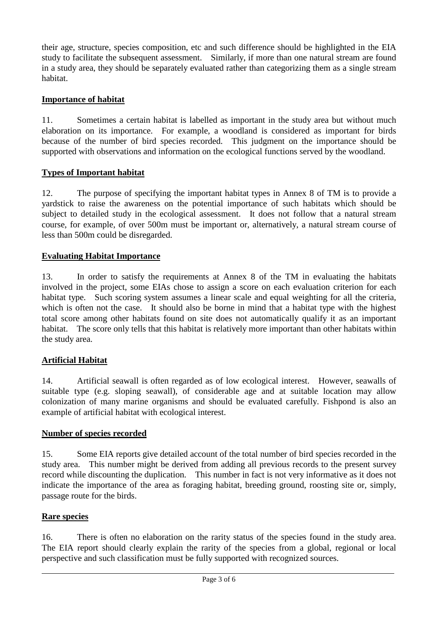their age, structure, species composition, etc and such difference should be highlighted in the EIA study to facilitate the subsequent assessment. Similarly, if more than one natural stream are found in a study area, they should be separately evaluated rather than categorizing them as a single stream habitat.

## **Importance of habitat**

11. Sometimes a certain habitat is labelled as important in the study area but without much elaboration on its importance. For example, a woodland is considered as important for birds because of the number of bird species recorded. This judgment on the importance should be supported with observations and information on the ecological functions served by the woodland.

# **Types of Important habitat**

12. The purpose of specifying the important habitat types in Annex 8 of TM is to provide a yardstick to raise the awareness on the potential importance of such habitats which should be subject to detailed study in the ecological assessment. It does not follow that a natural stream course, for example, of over 500m must be important or, alternatively, a natural stream course of less than 500m could be disregarded.

# **Evaluating Habitat Importance**

13. In order to satisfy the requirements at Annex 8 of the TM in evaluating the habitats involved in the project, some EIAs chose to assign a score on each evaluation criterion for each habitat type. Such scoring system assumes a linear scale and equal weighting for all the criteria, which is often not the case. It should also be borne in mind that a habitat type with the highest total score among other habitats found on site does not automatically qualify it as an important habitat. The score only tells that this habitat is relatively more important than other habitats within the study area.

# **Artificial Habitat**

14. Artificial seawall is often regarded as of low ecological interest. However, seawalls of suitable type (e.g. sloping seawall), of considerable age and at suitable location may allow colonization of many marine organisms and should be evaluated carefully. Fishpond is also an example of artificial habitat with ecological interest.

## **Number of species recorded**

15. Some EIA reports give detailed account of the total number of bird species recorded in the study area. This number might be derived from adding all previous records to the present survey record while discounting the duplication. This number in fact is not very informative as it does not indicate the importance of the area as foraging habitat, breeding ground, roosting site or, simply, passage route for the birds.

## **Rare species**

16. There is often no elaboration on the rarity status of the species found in the study area. The EIA report should clearly explain the rarity of the species from a global, regional or local perspective and such classification must be fully supported with recognized sources.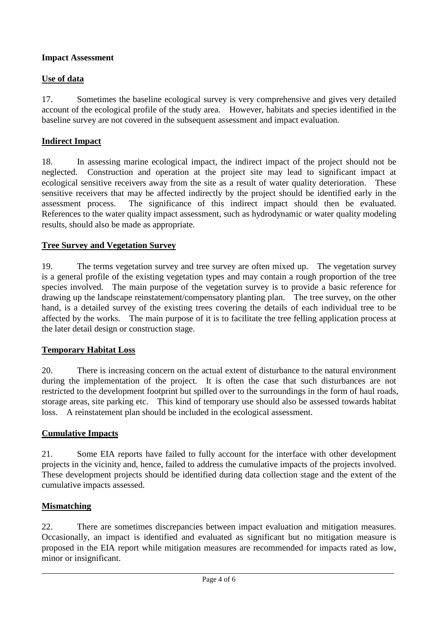#### **Impact Assessment**

## **Use of data**

17. Sometimes the baseline ecological survey is very comprehensive and gives very detailed account of the ecological profile of the study area. However, habitats and species identified in the baseline survey are not covered in the subsequent assessment and impact evaluation.

## **Indirect Impact**

18. In assessing marine ecological impact, the indirect impact of the project should not be neglected. Construction and operation at the project site may lead to significant impact at ecological sensitive receivers away from the site as a result of water quality deterioration. These sensitive receivers that may be affected indirectly by the project should be identified early in the assessment process. The significance of this indirect impact should then be evaluated. References to the water quality impact assessment, such as hydrodynamic or water quality modeling results, should also be made as appropriate.

## **Tree Survey and Vegetation Survey**

19. The terms vegetation survey and tree survey are often mixed up. The vegetation survey is a general profile of the existing vegetation types and may contain a rough proportion of the tree species involved. The main purpose of the vegetation survey is to provide a basic reference for drawing up the landscape reinstatement/compensatory planting plan. The tree survey, on the other hand, is a detailed survey of the existing trees covering the details of each individual tree to be affected by the works. The main purpose of it is to facilitate the tree felling application process at the later detail design or construction stage.

## **Temporary Habitat Loss**

20. There is increasing concern on the actual extent of disturbance to the natural environment during the implementation of the project. It is often the case that such disturbances are not restricted to the development footprint but spilled over to the surroundings in the form of haul roads, storage areas, site parking etc. This kind of temporary use should also be assessed towards habitat loss. A reinstatement plan should be included in the ecological assessment.

## **Cumulative Impacts**

21. Some EIA reports have failed to fully account for the interface with other development projects in the vicinity and, hence, failed to address the cumulative impacts of the projects involved. These development projects should be identified during data collection stage and the extent of the cumulative impacts assessed.

## **Mismatching**

22. There are sometimes discrepancies between impact evaluation and mitigation measures. Occasionally, an impact is identified and evaluated as significant but no mitigation measure is proposed in the EIA report while mitigation measures are recommended for impacts rated as low, minor or insignificant.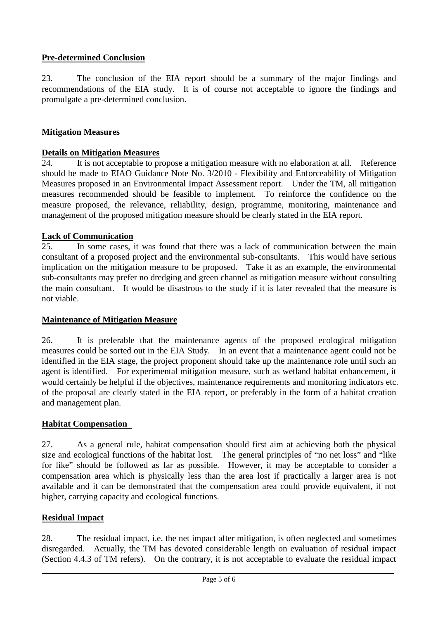# **Pre-determined Conclusion**

23. The conclusion of the EIA report should be a summary of the major findings and recommendations of the EIA study. It is of course not acceptable to ignore the findings and promulgate a pre-determined conclusion.

## **Mitigation Measures**

## **Details on Mitigation Measures**

24. It is not acceptable to propose a mitigation measure with no elaboration at all. Reference should be made to EIAO Guidance Note No. 3/2010 - Flexibility and Enforceability of Mitigation Measures proposed in an Environmental Impact Assessment report. Under the TM, all mitigation measures recommended should be feasible to implement. To reinforce the confidence on the measure proposed, the relevance, reliability, design, programme, monitoring, maintenance and management of the proposed mitigation measure should be clearly stated in the EIA report.

#### **Lack of Communication**

25. In some cases, it was found that there was a lack of communication between the main consultant of a proposed project and the environmental sub-consultants. This would have serious implication on the mitigation measure to be proposed. Take it as an example, the environmental sub-consultants may prefer no dredging and green channel as mitigation measure without consulting the main consultant. It would be disastrous to the study if it is later revealed that the measure is not viable.

#### **Maintenance of Mitigation Measure**

26. It is preferable that the maintenance agents of the proposed ecological mitigation measures could be sorted out in the EIA Study. In an event that a maintenance agent could not be identified in the EIA stage, the project proponent should take up the maintenance role until such an agent is identified. For experimental mitigation measure, such as wetland habitat enhancement, it would certainly be helpful if the objectives, maintenance requirements and monitoring indicators etc. of the proposal are clearly stated in the EIA report, or preferably in the form of a habitat creation and management plan.

## **Habitat Compensation**

27. As a general rule, habitat compensation should first aim at achieving both the physical size and ecological functions of the habitat lost. The general principles of "no net loss" and "like for like" should be followed as far as possible. However, it may be acceptable to consider a compensation area which is physically less than the area lost if practically a larger area is not available and it can be demonstrated that the compensation area could provide equivalent, if not higher, carrying capacity and ecological functions.

## **Residual Impact**

28. The residual impact, i.e. the net impact after mitigation, is often neglected and sometimes disregarded. Actually, the TM has devoted considerable length on evaluation of residual impact (Section 4.4.3 of TM refers). On the contrary, it is not acceptable to evaluate the residual impact